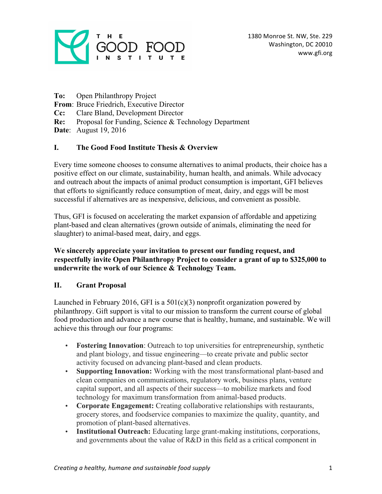

- **To:** Open Philanthropy Project
- **From**: Bruce Friedrich, Executive Director
- **Cc:** Clare Bland, Development Director
- **Re:** Proposal for Funding, Science & Technology Department
- **Date**: August 19, 2016

### **I. The Good Food Institute Thesis & Overview**

Every time someone chooses to consume alternatives to animal products, their choice has a positive effect on our climate, sustainability, human health, and animals. While advocacy and outreach about the impacts of animal product consumption is important, GFI believes that efforts to significantly reduce consumption of meat, dairy, and eggs will be most successful if alternatives are as inexpensive, delicious, and convenient as possible.

Thus, GFI is focused on accelerating the market expansion of affordable and appetizing plant-based and clean alternatives (grown outside of animals, eliminating the need for slaughter) to animal-based meat, dairy, and eggs.

#### **We sincerely appreciate your invitation to present our funding request, and respectfully invite Open Philanthropy Project to consider a grant of up to \$325,000 to underwrite the work of our Science & Technology Team.**

### **II. Grant Proposal**

Launched in February 2016, GFI is a  $501(c)(3)$  nonprofit organization powered by philanthropy. Gift support is vital to our mission to transform the current course of global food production and advance a new course that is healthy, humane, and sustainable. We will achieve this through our four programs:

- **Fostering Innovation**: Outreach to top universities for entrepreneurship, synthetic and plant biology, and tissue engineering—to create private and public sector activity focused on advancing plant-based and clean products.
- **Supporting Innovation:** Working with the most transformational plant-based and clean companies on communications, regulatory work, business plans, venture capital support, and all aspects of their success—to mobilize markets and food technology for maximum transformation from animal-based products.
- **Corporate Engagement:** Creating collaborative relationships with restaurants, grocery stores, and foodservice companies to maximize the quality, quantity, and promotion of plant-based alternatives.
- **Institutional Outreach:** Educating large grant-making institutions, corporations, and governments about the value of R&D in this field as a critical component in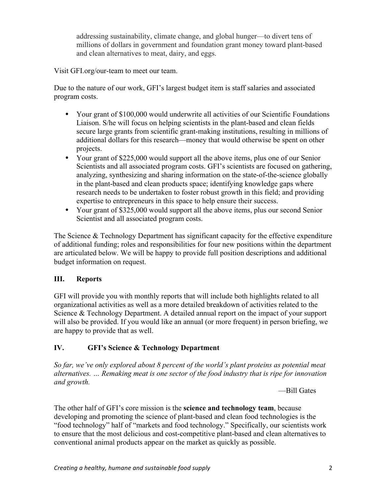addressing sustainability, climate change, and global hunger—to divert tens of millions of dollars in government and foundation grant money toward plant-based and clean alternatives to meat, dairy, and eggs.

Visit GFI.org/our-team to meet our team.

Due to the nature of our work, GFI's largest budget item is staff salaries and associated program costs.

- Your grant of \$100,000 would underwrite all activities of our Scientific Foundations Liaison. S/he will focus on helping scientists in the plant-based and clean fields secure large grants from scientific grant-making institutions, resulting in millions of additional dollars for this research—money that would otherwise be spent on other projects.
- Your grant of \$225,000 would support all the above items, plus one of our Senior Scientists and all associated program costs. GFI's scientists are focused on gathering, analyzing, synthesizing and sharing information on the state-of-the-science globally in the plant-based and clean products space; identifying knowledge gaps where research needs to be undertaken to foster robust growth in this field; and providing expertise to entrepreneurs in this space to help ensure their success.
- Your grant of \$325,000 would support all the above items, plus our second Senior Scientist and all associated program costs.

The Science & Technology Department has significant capacity for the effective expenditure of additional funding; roles and responsibilities for four new positions within the department are articulated below. We will be happy to provide full position descriptions and additional budget information on request.

# **III. Reports**

GFI will provide you with monthly reports that will include both highlights related to all organizational activities as well as a more detailed breakdown of activities related to the Science & Technology Department. A detailed annual report on the impact of your support will also be provided. If you would like an annual (or more frequent) in person briefing, we are happy to provide that as well.

# **IV. GFI's Science & Technology Department**

*So far, we've only explored about 8 percent of the world's plant proteins as potential meat alternatives. … Remaking meat is one sector of the food industry that is ripe for innovation and growth.*

—Bill Gates

The other half of GFI's core mission is the **science and technology team**, because developing and promoting the science of plant-based and clean food technologies is the "food technology" half of "markets and food technology." Specifically, our scientists work to ensure that the most delicious and cost-competitive plant-based and clean alternatives to conventional animal products appear on the market as quickly as possible.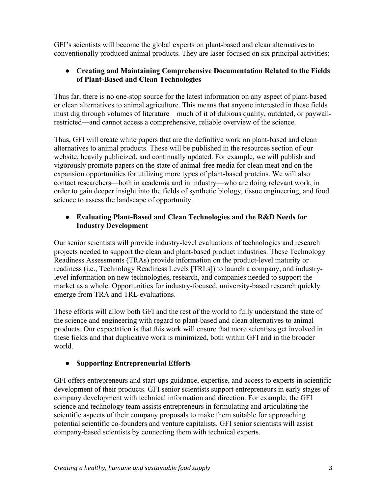GFI's scientists will become the global experts on plant-based and clean alternatives to conventionally produced animal products. They are laser-focused on six principal activities:

# ● **Creating and Maintaining Comprehensive Documentation Related to the Fields of Plant-Based and Clean Technologies**

Thus far, there is no one-stop source for the latest information on any aspect of plant-based or clean alternatives to animal agriculture. This means that anyone interested in these fields must dig through volumes of literature—much of it of dubious quality, outdated, or paywallrestricted—and cannot access a comprehensive, reliable overview of the science.

Thus, GFI will create white papers that are the definitive work on plant-based and clean alternatives to animal products. These will be published in the resources section of our website, heavily publicized, and continually updated. For example, we will publish and vigorously promote papers on the state of animal-free media for clean meat and on the expansion opportunities for utilizing more types of plant-based proteins. We will also contact researchers—both in academia and in industry—who are doing relevant work, in order to gain deeper insight into the fields of synthetic biology, tissue engineering, and food science to assess the landscape of opportunity.

### ● **Evaluating Plant-Based and Clean Technologies and the R&D Needs for Industry Development**

Our senior scientists will provide industry-level evaluations of technologies and research projects needed to support the clean and plant-based product industries. These Technology Readiness Assessments (TRAs) provide information on the product-level maturity or readiness (i.e., Technology Readiness Levels [TRLs]) to launch a company, and industrylevel information on new technologies, research, and companies needed to support the market as a whole. Opportunities for industry-focused, university-based research quickly emerge from TRA and TRL evaluations.

These efforts will allow both GFI and the rest of the world to fully understand the state of the science and engineering with regard to plant-based and clean alternatives to animal products. Our expectation is that this work will ensure that more scientists get involved in these fields and that duplicative work is minimized, both within GFI and in the broader world.

# ● **Supporting Entrepreneurial Efforts**

GFI offers entrepreneurs and start-ups guidance, expertise, and access to experts in scientific development of their products. GFI senior scientists support entrepreneurs in early stages of company development with technical information and direction. For example, the GFI science and technology team assists entrepreneurs in formulating and articulating the scientific aspects of their company proposals to make them suitable for approaching potential scientific co-founders and venture capitalists. GFI senior scientists will assist company-based scientists by connecting them with technical experts.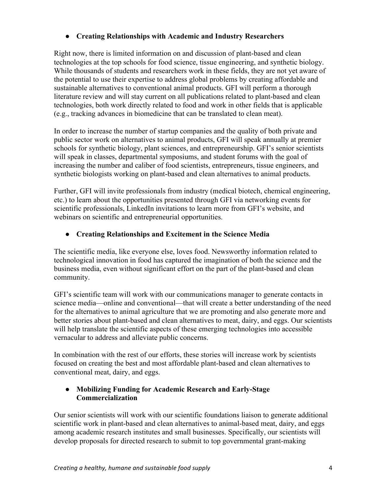### ● **Creating Relationships with Academic and Industry Researchers**

Right now, there is limited information on and discussion of plant-based and clean technologies at the top schools for food science, tissue engineering, and synthetic biology. While thousands of students and researchers work in these fields, they are not yet aware of the potential to use their expertise to address global problems by creating affordable and sustainable alternatives to conventional animal products. GFI will perform a thorough literature review and will stay current on all publications related to plant-based and clean technologies, both work directly related to food and work in other fields that is applicable (e.g., tracking advances in biomedicine that can be translated to clean meat).

In order to increase the number of startup companies and the quality of both private and public sector work on alternatives to animal products, GFI will speak annually at premier schools for synthetic biology, plant sciences, and entrepreneurship. GFI's senior scientists will speak in classes, departmental symposiums, and student forums with the goal of increasing the number and caliber of food scientists, entrepreneurs, tissue engineers, and synthetic biologists working on plant-based and clean alternatives to animal products.

Further, GFI will invite professionals from industry (medical biotech, chemical engineering, etc.) to learn about the opportunities presented through GFI via networking events for scientific professionals, LinkedIn invitations to learn more from GFI's website, and webinars on scientific and entrepreneurial opportunities.

### ● **Creating Relationships and Excitement in the Science Media**

The scientific media, like everyone else, loves food. Newsworthy information related to technological innovation in food has captured the imagination of both the science and the business media, even without significant effort on the part of the plant-based and clean community.

GFI's scientific team will work with our communications manager to generate contacts in science media—online and conventional—that will create a better understanding of the need for the alternatives to animal agriculture that we are promoting and also generate more and better stories about plant-based and clean alternatives to meat, dairy, and eggs. Our scientists will help translate the scientific aspects of these emerging technologies into accessible vernacular to address and alleviate public concerns.

In combination with the rest of our efforts, these stories will increase work by scientists focused on creating the best and most affordable plant-based and clean alternatives to conventional meat, dairy, and eggs.

### ● **Mobilizing Funding for Academic Research and Early-Stage Commercialization**

Our senior scientists will work with our scientific foundations liaison to generate additional scientific work in plant-based and clean alternatives to animal-based meat, dairy, and eggs among academic research institutes and small businesses. Specifically, our scientists will develop proposals for directed research to submit to top governmental grant-making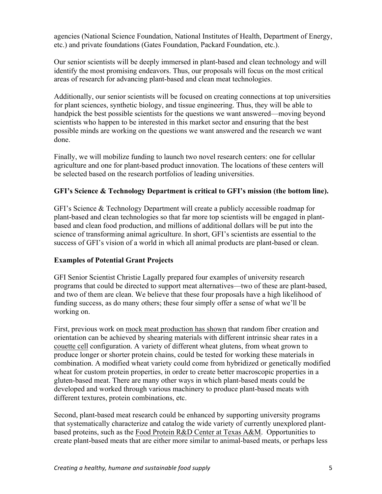agencies (National Science Foundation, National Institutes of Health, Department of Energy, etc.) and private foundations (Gates Foundation, Packard Foundation, etc.).

Our senior scientists will be deeply immersed in plant-based and clean technology and will identify the most promising endeavors. Thus, our proposals will focus on the most critical areas of research for advancing plant-based and clean meat technologies.

Additionally, our senior scientists will be focused on creating connections at top universities for plant sciences, synthetic biology, and tissue engineering. Thus, they will be able to handpick the best possible scientists for the questions we want answered—moving beyond scientists who happen to be interested in this market sector and ensuring that the best possible minds are working on the questions we want answered and the research we want done.

Finally, we will mobilize funding to launch two novel research centers: one for cellular agriculture and one for plant-based product innovation. The locations of these centers will be selected based on the research portfolios of leading universities.

### **GFI's Science & Technology Department is critical to GFI's mission (the bottom line).**

GFI's Science & Technology Department will create a publicly accessible roadmap for plant-based and clean technologies so that far more top scientists will be engaged in plantbased and clean food production, and millions of additional dollars will be put into the science of transforming animal agriculture. In short, GFI's scientists are essential to the success of GFI's vision of a world in which all animal products are plant-based or clean.

### **Examples of Potential Grant Projects**

GFI Senior Scientist Christie Lagally prepared four examples of university research programs that could be directed to support meat alternatives—two of these are plant-based, and two of them are clean. We believe that these four proposals have a high likelihood of funding success, as do many others; these four simply offer a sense of what we'll be working on.

First, previous work on mock meat production has shown that random fiber creation and orientation can be achieved by shearing materials with different intrinsic shear rates in a couette cell configuration. A variety of different wheat glutens, from wheat grown to produce longer or shorter protein chains, could be tested for working these materials in combination. A modified wheat variety could come from hybridized or genetically modified wheat for custom protein properties, in order to create better macroscopic properties in a gluten-based meat. There are many other ways in which plant-based meats could be developed and worked through various machinery to produce plant-based meats with different textures, protein combinations, etc.

Second, plant-based meat research could be enhanced by supporting university programs that systematically characterize and catalog the wide variety of currently unexplored plantbased proteins, such as the Food Protein R&D Center at Texas A&M. Opportunities to create plant-based meats that are either more similar to animal-based meats, or perhaps less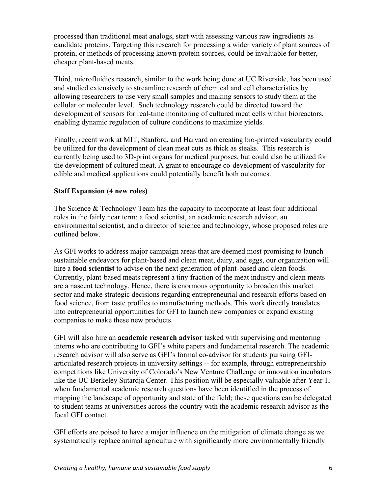processed than traditional meat analogs, start with assessing various raw ingredients as candidate proteins. Targeting this research for processing a wider variety of plant sources of protein, or methods of processing known protein sources, could be invaluable for better, cheaper plant-based meats.

Third, microfluidics research, similar to the work being done at UC Riverside, has been used and studied extensively to streamline research of chemical and cell characteristics by allowing researchers to use very small samples and making sensors to study them at the cellular or molecular level. Such technology research could be directed toward the development of sensors for real-time monitoring of cultured meat cells within bioreactors, enabling dynamic regulation of culture conditions to maximize yields.

Finally, recent work at MIT, Stanford, and Harvard on creating bio-printed vascularity could be utilized for the development of clean meat cuts as thick as steaks. This research is currently being used to 3D-print organs for medical purposes, but could also be utilized for the development of cultured meat. A grant to encourage co-development of vascularity for edible and medical applications could potentially benefit both outcomes.

#### **Staff Expansion (4 new roles)**

The Science & Technology Team has the capacity to incorporate at least four additional roles in the fairly near term: a food scientist, an academic research advisor, an environmental scientist, and a director of science and technology, whose proposed roles are outlined below.

As GFI works to address major campaign areas that are deemed most promising to launch sustainable endeavors for plant-based and clean meat, dairy, and eggs, our organization will hire a **food scientist** to advise on the next generation of plant-based and clean foods. Currently, plant-based meats represent a tiny fraction of the meat industry and clean meats are a nascent technology. Hence, there is enormous opportunity to broaden this market sector and make strategic decisions regarding entrepreneurial and research efforts based on food science, from taste profiles to manufacturing methods. This work directly translates into entrepreneurial opportunities for GFI to launch new companies or expand existing companies to make these new products.

GFI will also hire an **academic research advisor** tasked with supervising and mentoring interns who are contributing to GFI's white papers and fundamental research. The academic research advisor will also serve as GFI's formal co-advisor for students pursuing GFIarticulated research projects in university settings -- for example, through entrepreneurship competitions like University of Colorado's New Venture Challenge or innovation incubators like the UC Berkeley Sutardja Center. This position will be especially valuable after Year 1, when fundamental academic research questions have been identified in the process of mapping the landscape of opportunity and state of the field; these questions can be delegated to student teams at universities across the country with the academic research advisor as the focal GFI contact.

GFI efforts are poised to have a major influence on the mitigation of climate change as we systematically replace animal agriculture with significantly more environmentally friendly